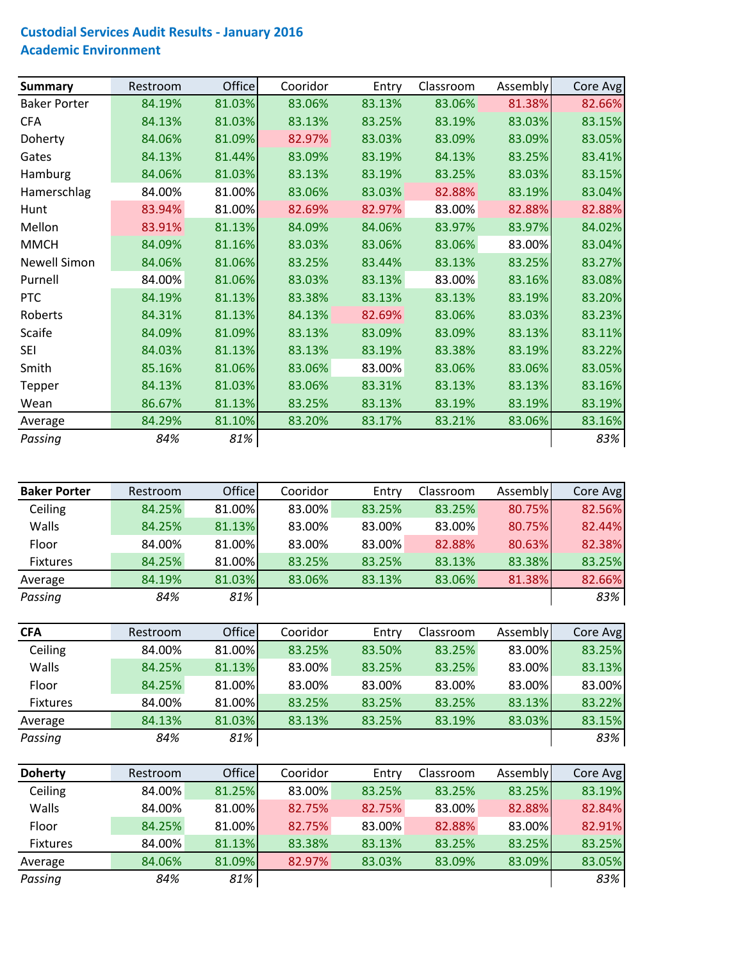## **Custodial Services Audit Results ‐ January 2016 Academic Environment**

| <b>Summary</b>      | Restroom | <b>Office</b> | Cooridor | Entry  | Classroom | <b>Assembly</b> | Core Avg |
|---------------------|----------|---------------|----------|--------|-----------|-----------------|----------|
| <b>Baker Porter</b> | 84.19%   | 81.03%        | 83.06%   | 83.13% | 83.06%    | 81.38%          | 82.66%   |
| <b>CFA</b>          | 84.13%   | 81.03%        | 83.13%   | 83.25% | 83.19%    | 83.03%          | 83.15%   |
| Doherty             | 84.06%   | 81.09%        | 82.97%   | 83.03% | 83.09%    | 83.09%          | 83.05%   |
| Gates               | 84.13%   | 81.44%        | 83.09%   | 83.19% | 84.13%    | 83.25%          | 83.41%   |
| Hamburg             | 84.06%   | 81.03%        | 83.13%   | 83.19% | 83.25%    | 83.03%          | 83.15%   |
| Hamerschlag         | 84.00%   | 81.00%        | 83.06%   | 83.03% | 82.88%    | 83.19%          | 83.04%   |
| Hunt                | 83.94%   | 81.00%        | 82.69%   | 82.97% | 83.00%    | 82.88%          | 82.88%   |
| Mellon              | 83.91%   | 81.13%        | 84.09%   | 84.06% | 83.97%    | 83.97%          | 84.02%   |
| <b>MMCH</b>         | 84.09%   | 81.16%        | 83.03%   | 83.06% | 83.06%    | 83.00%          | 83.04%   |
| <b>Newell Simon</b> | 84.06%   | 81.06%        | 83.25%   | 83.44% | 83.13%    | 83.25%          | 83.27%   |
| Purnell             | 84.00%   | 81.06%        | 83.03%   | 83.13% | 83.00%    | 83.16%          | 83.08%   |
| <b>PTC</b>          | 84.19%   | 81.13%        | 83.38%   | 83.13% | 83.13%    | 83.19%          | 83.20%   |
| Roberts             | 84.31%   | 81.13%        | 84.13%   | 82.69% | 83.06%    | 83.03%          | 83.23%   |
| Scaife              | 84.09%   | 81.09%        | 83.13%   | 83.09% | 83.09%    | 83.13%          | 83.11%   |
| <b>SEI</b>          | 84.03%   | 81.13%        | 83.13%   | 83.19% | 83.38%    | 83.19%          | 83.22%   |
| Smith               | 85.16%   | 81.06%        | 83.06%   | 83.00% | 83.06%    | 83.06%          | 83.05%   |
| Tepper              | 84.13%   | 81.03%        | 83.06%   | 83.31% | 83.13%    | 83.13%          | 83.16%   |
| Wean                | 86.67%   | 81.13%        | 83.25%   | 83.13% | 83.19%    | 83.19%          | 83.19%   |
| Average             | 84.29%   | 81.10%        | 83.20%   | 83.17% | 83.21%    | 83.06%          | 83.16%   |
| Passing             | 84%      | 81%           |          |        |           |                 | 83%      |

| <b>Baker Porter</b> | Restroom | <b>Office</b> | Cooridor | Entry  | Classroom | Assembly | Core Avg |
|---------------------|----------|---------------|----------|--------|-----------|----------|----------|
| Ceiling             | 84.25%   | 81.00%        | 83.00%   | 83.25% | 83.25%    | 80.75%   | 82.56%   |
| Walls               | 84.25%   | 81.13%        | 83.00%   | 83.00% | 83.00%    | 80.75%   | 82.44%   |
| Floor               | 84.00%   | 81.00%        | 83.00%   | 83.00% | 82.88%    | 80.63%   | 82.38%   |
| Fixtures            | 84.25%   | 81.00%        | 83.25%   | 83.25% | 83.13%    | 83.38%   | 83.25%   |
| Average             | 84.19%   | 81.03%        | 83.06%   | 83.13% | 83.06%    | 81.38%   | 82.66%   |
| Passing             | 84%      | 81%           |          |        |           |          | 83%      |

| <b>CFA</b>      | Restroom | <b>Office</b> | Cooridor | Entry  | Classroom | Assembly | Core Avg |
|-----------------|----------|---------------|----------|--------|-----------|----------|----------|
| Ceiling         | 84.00%   | 81.00%        | 83.25%   | 83.50% | 83.25%    | 83.00%   | 83.25%   |
| Walls           | 84.25%   | 81.13%        | 83.00%   | 83.25% | 83.25%    | 83.00%   | 83.13%   |
| Floor           | 84.25%   | 81.00%        | 83.00%   | 83.00% | 83.00%    | 83.00%   | 83.00%   |
| <b>Fixtures</b> | 84.00%   | 81.00%        | 83.25%   | 83.25% | 83.25%    | 83.13%   | 83.22%   |
| Average         | 84.13%   | 81.03%        | 83.13%   | 83.25% | 83.19%    | 83.03%   | 83.15%   |
| Passing         | 84%      | 81%           |          |        |           |          | 83%      |

| <b>Doherty</b> | Restroom | <b>Office</b> | Cooridor | Entry  | Classroom | Assembly | Core Avg |
|----------------|----------|---------------|----------|--------|-----------|----------|----------|
| Ceiling        | 84.00%   | 81.25%        | 83.00%   | 83.25% | 83.25%    | 83.25%   | 83.19%   |
| Walls          | 84.00%   | 81.00%        | 82.75%   | 82.75% | 83.00%    | 82.88%   | 82.84%   |
| Floor          | 84.25%   | 81.00%        | 82.75%   | 83.00% | 82.88%    | 83.00%   | 82.91%   |
| Fixtures       | 84.00%   | 81.13%        | 83.38%   | 83.13% | 83.25%    | 83.25%   | 83.25%   |
| Average        | 84.06%   | 81.09%        | 82.97%   | 83.03% | 83.09%    | 83.09%   | 83.05%   |
| Passing        | 84%      | 81%           |          |        |           |          | 83%      |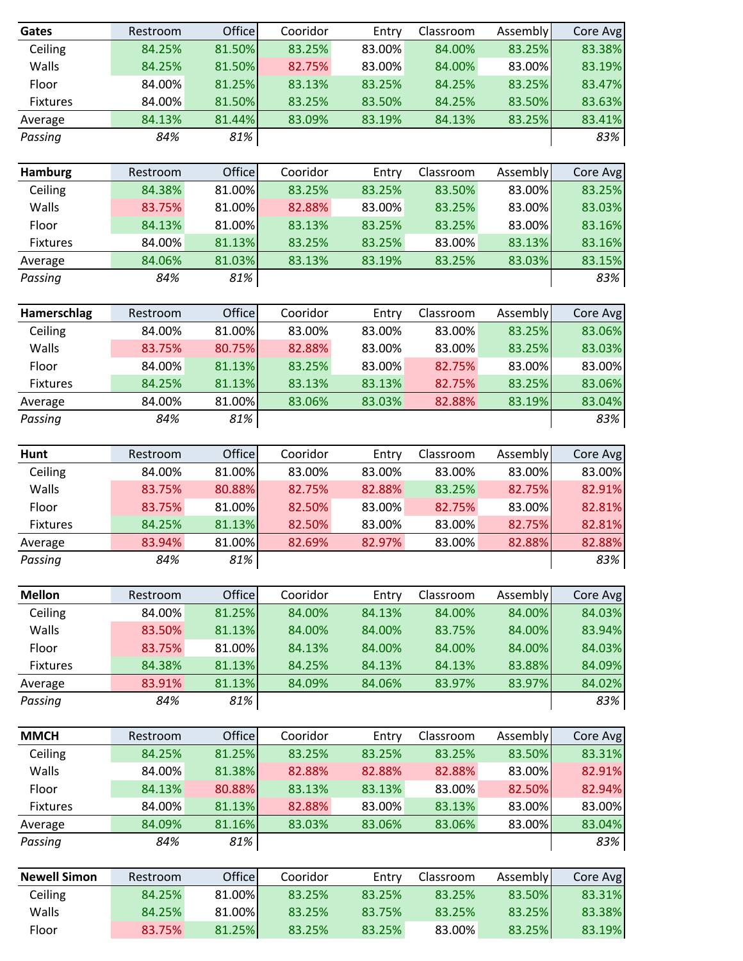| Gates               | Restroom | Office | Cooridor | Entry  | Classroom | Assembly | Core Avg |
|---------------------|----------|--------|----------|--------|-----------|----------|----------|
| Ceiling             | 84.25%   | 81.50% | 83.25%   | 83.00% | 84.00%    | 83.25%   | 83.38%   |
| Walls               | 84.25%   | 81.50% | 82.75%   | 83.00% | 84.00%    | 83.00%   | 83.19%   |
| Floor               | 84.00%   | 81.25% | 83.13%   | 83.25% | 84.25%    | 83.25%   | 83.47%   |
| <b>Fixtures</b>     | 84.00%   | 81.50% | 83.25%   | 83.50% | 84.25%    | 83.50%   | 83.63%   |
| Average             | 84.13%   | 81.44% | 83.09%   | 83.19% | 84.13%    | 83.25%   | 83.41%   |
| Passing             | 84%      | 81%    |          |        |           |          | 83%      |
|                     |          |        |          |        |           |          |          |
| <b>Hamburg</b>      | Restroom | Office | Cooridor | Entry  | Classroom | Assembly | Core Avg |
| Ceiling             | 84.38%   | 81.00% | 83.25%   | 83.25% | 83.50%    | 83.00%   | 83.25%   |
| Walls               | 83.75%   | 81.00% | 82.88%   | 83.00% | 83.25%    | 83.00%   | 83.03%   |
| Floor               | 84.13%   | 81.00% | 83.13%   | 83.25% | 83.25%    | 83.00%   | 83.16%   |
| Fixtures            | 84.00%   | 81.13% | 83.25%   | 83.25% | 83.00%    | 83.13%   | 83.16%   |
| Average             | 84.06%   | 81.03% | 83.13%   | 83.19% | 83.25%    | 83.03%   | 83.15%   |
| Passing             | 84%      | 81%    |          |        |           |          | 83%      |
| Hamerschlag         | Restroom | Office | Cooridor | Entry  | Classroom | Assembly | Core Avg |
| Ceiling             | 84.00%   | 81.00% | 83.00%   | 83.00% | 83.00%    | 83.25%   | 83.06%   |
| Walls               | 83.75%   | 80.75% | 82.88%   | 83.00% | 83.00%    | 83.25%   | 83.03%   |
| Floor               | 84.00%   | 81.13% | 83.25%   | 83.00% | 82.75%    | 83.00%   | 83.00%   |
| Fixtures            | 84.25%   | 81.13% | 83.13%   | 83.13% | 82.75%    | 83.25%   | 83.06%   |
| Average             | 84.00%   | 81.00% | 83.06%   | 83.03% | 82.88%    | 83.19%   | 83.04%   |
| Passing             | 84%      | 81%    |          |        |           |          | 83%      |
| Hunt                | Restroom | Office | Cooridor | Entry  | Classroom | Assembly | Core Avg |
| Ceiling             | 84.00%   | 81.00% | 83.00%   | 83.00% | 83.00%    | 83.00%   | 83.00%   |
| Walls               | 83.75%   | 80.88% | 82.75%   | 82.88% | 83.25%    | 82.75%   | 82.91%   |
| Floor               | 83.75%   | 81.00% | 82.50%   | 83.00% | 82.75%    | 83.00%   | 82.81%   |
| <b>Fixtures</b>     | 84.25%   | 81.13% | 82.50%   | 83.00% | 83.00%    | 82.75%   | 82.81%   |
| Average             | 83.94%   | 81.00% | 82.69%   | 82.97% | 83.00%    | 82.88%   | 82.88%   |
| Passing             | 84%      | 81%    |          |        |           |          | 83%      |
|                     |          |        |          |        |           |          |          |
| <b>Mellon</b>       | Restroom | Office | Cooridor | Entry  | Classroom | Assembly | Core Avg |
| Ceiling             | 84.00%   | 81.25% | 84.00%   | 84.13% | 84.00%    | 84.00%   | 84.03%   |
| Walls               | 83.50%   | 81.13% | 84.00%   | 84.00% | 83.75%    | 84.00%   | 83.94%   |
| Floor               | 83.75%   | 81.00% | 84.13%   | 84.00% | 84.00%    | 84.00%   | 84.03%   |
| Fixtures            | 84.38%   | 81.13% | 84.25%   | 84.13% | 84.13%    | 83.88%   | 84.09%   |
| Average             | 83.91%   | 81.13% | 84.09%   | 84.06% | 83.97%    | 83.97%   | 84.02%   |
| Passing             | 84%      | 81%    |          |        |           |          | 83%      |
| <b>MMCH</b>         | Restroom | Office | Cooridor | Entry  | Classroom | Assembly | Core Avg |
| Ceiling             | 84.25%   | 81.25% | 83.25%   | 83.25% | 83.25%    | 83.50%   | 83.31%   |
| Walls               | 84.00%   | 81.38% | 82.88%   | 82.88% | 82.88%    | 83.00%   | 82.91%   |
| Floor               | 84.13%   | 80.88% | 83.13%   | 83.13% | 83.00%    | 82.50%   | 82.94%   |
| Fixtures            | 84.00%   | 81.13% | 82.88%   | 83.00% | 83.13%    | 83.00%   | 83.00%   |
| Average             | 84.09%   | 81.16% | 83.03%   | 83.06% | 83.06%    | 83.00%   | 83.04%   |
| Passing             | 84%      | 81%    |          |        |           |          | 83%      |
| <b>Newell Simon</b> | Restroom | Office | Cooridor | Entry  | Classroom | Assembly | Core Avg |
| Ceiling             | 84.25%   | 81.00% | 83.25%   | 83.25% | 83.25%    | 83.50%   | 83.31%   |
| Walls               | 84.25%   | 81.00% | 83.25%   | 83.75% | 83.25%    | 83.25%   | 83.38%   |
| Floor               | 83.75%   | 81.25% | 83.25%   | 83.25% | 83.00%    | 83.25%   | 83.19%   |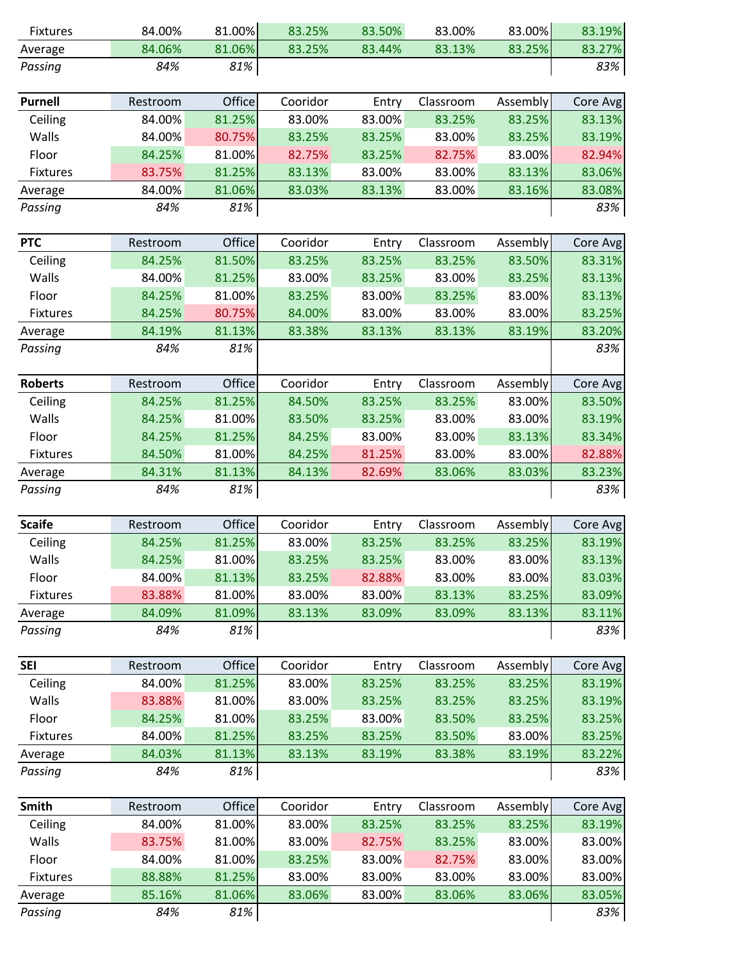| Fixtures           | 84.00%   | 81.00% | 83.25%   | 83.50% | 83.00%    | 83.00%          | 83.19%   |
|--------------------|----------|--------|----------|--------|-----------|-----------------|----------|
| Average            | 84.06%   | 81.06% | 83.25%   | 83.44% | 83.13%    | 83.25%          | 83.27%   |
| Passing            | 84%      | 81%    |          |        |           |                 | 83%      |
| <b>Purnell</b>     | Restroom | Office | Cooridor | Entry  | Classroom | Assembly        | Core Avg |
| Ceiling            | 84.00%   | 81.25% | 83.00%   | 83.00% | 83.25%    | 83.25%          | 83.13%   |
| Walls              | 84.00%   | 80.75% | 83.25%   | 83.25% | 83.00%    | 83.25%          | 83.19%   |
| Floor              | 84.25%   | 81.00% | 82.75%   | 83.25% | 82.75%    | 83.00%          | 82.94%   |
| Fixtures           | 83.75%   | 81.25% | 83.13%   | 83.00% | 83.00%    | 83.13%          | 83.06%   |
| Average            | 84.00%   | 81.06% | 83.03%   | 83.13% | 83.00%    | 83.16%          | 83.08%   |
| Passing            | 84%      | 81%    |          |        |           |                 | 83%      |
| <b>PTC</b>         | Restroom | Office | Cooridor | Entry  | Classroom | Assembly        | Core Avg |
| Ceiling            | 84.25%   | 81.50% | 83.25%   | 83.25% | 83.25%    | 83.50%          | 83.31%   |
| Walls              | 84.00%   | 81.25% | 83.00%   | 83.25% | 83.00%    | 83.25%          | 83.13%   |
| Floor              | 84.25%   | 81.00% | 83.25%   | 83.00% | 83.25%    | 83.00%          | 83.13%   |
| Fixtures           | 84.25%   | 80.75% | 84.00%   | 83.00% | 83.00%    | 83.00%          | 83.25%   |
|                    | 84.19%   | 81.13% | 83.38%   | 83.13% | 83.13%    | 83.19%          | 83.20%   |
| Average<br>Passing | 84%      | 81%    |          |        |           |                 | 83%      |
|                    |          |        |          |        |           |                 |          |
| <b>Roberts</b>     | Restroom | Office | Cooridor | Entry  | Classroom | Assembly        | Core Avg |
| Ceiling            | 84.25%   | 81.25% | 84.50%   | 83.25% | 83.25%    | 83.00%          | 83.50%   |
| Walls              | 84.25%   | 81.00% | 83.50%   | 83.25% | 83.00%    | 83.00%          | 83.19%   |
| Floor              | 84.25%   | 81.25% | 84.25%   | 83.00% | 83.00%    | 83.13%          | 83.34%   |
| <b>Fixtures</b>    | 84.50%   | 81.00% | 84.25%   | 81.25% | 83.00%    | 83.00%          | 82.88%   |
| Average            | 84.31%   | 81.13% | 84.13%   | 82.69% | 83.06%    | 83.03%          | 83.23%   |
| Passing            | 84%      | 81%    |          |        |           |                 | 83%      |
| <b>Scaife</b>      | Restroom | Office | Cooridor | Entry  | Classroom | <b>Assembly</b> | Core Avg |
| Ceiling            | 84.25%   | 81.25% | 83.00%   | 83.25% | 83.25%    | 83.25%          | 83.19%   |
| Walls              | 84.25%   | 81.00% | 83.25%   | 83.25% | 83.00%    | 83.00%          | 83.13%   |
| Floor              | 84.00%   | 81.13% | 83.25%   | 82.88% | 83.00%    | 83.00%          | 83.03%   |
| Fixtures           | 83.88%   | 81.00% | 83.00%   | 83.00% | 83.13%    | 83.25%          | 83.09%   |
| Average            | 84.09%   | 81.09% | 83.13%   | 83.09% | 83.09%    | 83.13%          | 83.11%   |
| Passing            | 84%      | 81%    |          |        |           |                 | 83%      |
|                    |          |        |          |        |           |                 |          |
| <b>SEI</b>         | Restroom | Office | Cooridor | Entry  | Classroom | Assembly        | Core Avg |
| Ceiling            | 84.00%   | 81.25% | 83.00%   | 83.25% | 83.25%    | 83.25%          | 83.19%   |
| Walls              | 83.88%   | 81.00% | 83.00%   | 83.25% | 83.25%    | 83.25%          | 83.19%   |
| Floor              | 84.25%   | 81.00% | 83.25%   | 83.00% | 83.50%    | 83.25%          | 83.25%   |
| <b>Fixtures</b>    | 84.00%   | 81.25% | 83.25%   | 83.25% | 83.50%    | 83.00%          | 83.25%   |
| Average            | 84.03%   | 81.13% | 83.13%   | 83.19% | 83.38%    | 83.19%          | 83.22%   |
| Passing            | 84%      | 81%    |          |        |           |                 | 83%      |
| Smith              | Restroom | Office | Cooridor | Entry  | Classroom | Assembly        | Core Avg |
| Ceiling            | 84.00%   | 81.00% | 83.00%   | 83.25% | 83.25%    | 83.25%          | 83.19%   |
| Walls              | 83.75%   | 81.00% | 83.00%   | 82.75% | 83.25%    | 83.00%          | 83.00%   |
| Floor              | 84.00%   | 81.00% | 83.25%   | 83.00% | 82.75%    | 83.00%          | 83.00%   |
| Fixtures           | 88.88%   | 81.25% | 83.00%   | 83.00% | 83.00%    | 83.00%          | 83.00%   |
| Average            | 85.16%   | 81.06% | 83.06%   | 83.00% | 83.06%    | 83.06%          | 83.05%   |
| Passing            | 84%      | 81%    |          |        |           |                 | 83%      |